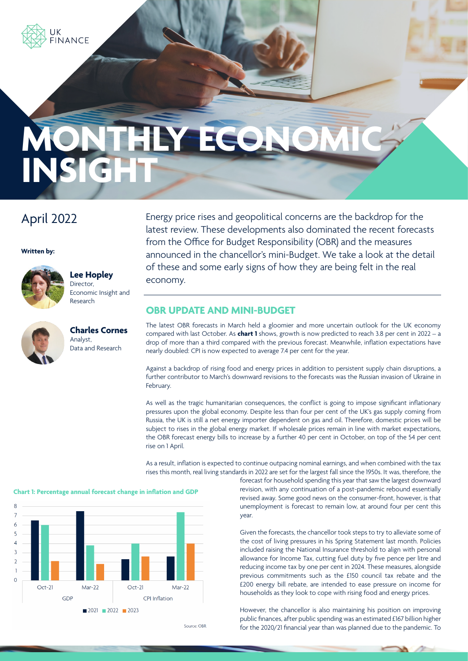

# THLY ECO. **INSIG**

# April 2022

**Written by:**



**Lee Hopley** Director, Economic Insight and Research

**Charles Cornes** Analyst, Data and Research

Energy price rises and geopolitical concerns are the backdrop for the latest review. These developments also dominated the recent forecasts from the Office for Budget Responsibility (OBR) and the measures announced in the chancellor's mini-Budget. We take a look at the detail of these and some early signs of how they are being felt in the real economy.

#### **OBR UPDATE AND MINI-BUDGET**

The latest OBR forecasts in March held a gloomier and more uncertain outlook for the UK economy compared with last October. As **chart 1** shows, growth is now predicted to reach 3.8 per cent in 2022 – a drop of more than a third compared with the previous forecast. Meanwhile, inflation expectations have nearly doubled: CPI is now expected to average 7.4 per cent for the year.

Against a backdrop of rising food and energy prices in addition to persistent supply chain disruptions, a further contributor to March's downward revisions to the forecasts was the Russian invasion of Ukraine in February.

As well as the tragic humanitarian consequences, the conflict is going to impose significant inflationary pressures upon the global economy. Despite less than four per cent of the UK's gas supply coming from Russia, the UK is still a net energy importer dependent on gas and oil. Therefore, domestic prices will be subject to rises in the global energy market. If wholesale prices remain in line with market expectations, the OBR forecast energy bills to increase by a further 40 per cent in October, on top of the 54 per cent rise on 1 April.

As a result, inflation is expected to continue outpacing nominal earnings, and when combined with the tax rises this month, real living standards in 2022 are set for the largest fall since the 1950s. It was, therefore, the

> forecast for household spending this year that saw the largest downward revision, with any continuation of a post-pandemic rebound essentially revised away. Some good news on the consumer-front, however, is that unemployment is forecast to remain low, at around four per cent this year.

> Given the forecasts, the chancellor took steps to try to alleviate some of the cost of living pressures in his Spring Statement last month. Policies included raising the National Insurance threshold to align with personal allowance for Income Tax, cutting fuel duty by five pence per litre and reducing income tax by one per cent in 2024. These measures, alongside previous commitments such as the £150 council tax rebate and the £200 energy bill rebate, are intended to ease pressure on income for households as they look to cope with rising food and energy prices.

> However, the chancellor is also maintaining his position on improving public finances, after public spending was an estimated £167 billion higher for the 2020/21 financial year than was planned due to the pandemic. To

#### **Chart 1: Percentage annual forecast change in inflation and GDP**



Source: OBR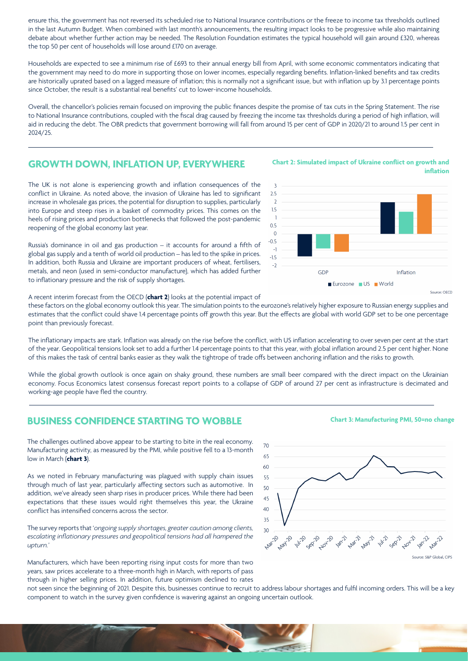ensure this, the government has not reversed its scheduled rise to National Insurance contributions or the freeze to income tax thresholds outlined in the last Autumn Budget. When combined with last month's announcements, the resulting impact looks to be progressive while also maintaining debate about whether further action may be needed. The Resolution Foundation estimates the typical household will gain around £320, whereas the top 50 per cent of households will lose around £170 on average.

Households are expected to see a minimum rise of £693 to their annual energy bill from April, with some economic commentators indicating that the government may need to do more in supporting those on lower incomes, especially regarding benefits. Inflation-linked benefits and tax credits are historically uprated based on a lagged measure of inflation; this is normally not a significant issue, but with inflation up by 3.1 percentage points since October, the result is a substantial real benefits' cut to lower-income households.

Overall, the chancellor's policies remain focused on improving the public finances despite the promise of tax cuts in the Spring Statement. The rise to National Insurance contributions, coupled with the fiscal drag caused by freezing the income tax thresholds during a period of high inflation, will aid in reducing the debt. The OBR predicts that government borrowing will fall from around 15 per cent of GDP in 2020/21 to around 1.5 per cent in 2024/25.

#### **GROWTH DOWN, INFLATION UP, EVERYWHERE**

The UK is not alone is experiencing growth and inflation consequences of the conflict in Ukraine. As noted above, the invasion of Ukraine has led to significant increase in wholesale gas prices, the potential for disruption to supplies, particularly into Europe and steep rises in a basket of commodity prices. This comes on the heels of rising prices and production bottlenecks that followed the post-pandemic reopening of the global economy last year.

Russia's dominance in oil and gas production – it accounts for around a fifth of global gas supply and a tenth of world oil production – has led to the spike in prices. In addition, both Russia and Ukraine are important producers of wheat, fertilisers, metals, and neon (used in semi-conductor manufacture), which has added further to inflationary pressure and the risk of supply shortages.

A recent interim forecast from the OECD (**chart 2**) looks at the potential impact of

these factors on the global economy outlook this year. The simulation points to the eurozone's relatively higher exposure to Russian energy supplies and estimates that the conflict could shave 1.4 percentage points off growth this year. But the effects are global with world GDP set to be one percentage point than previously forecast.

The inflationary impacts are stark. Inflation was already on the rise before the conflict, with US inflation accelerating to over seven per cent at the start of the year. Geopolitical tensions look set to add a further 1.4 percentage points to that this year, with global inflation around 2.5 per cent higher. None of this makes the task of central banks easier as they walk the tightrope of trade offs between anchoring inflation and the risks to growth.

While the global growth outlook is once again on shaky ground, these numbers are small beer compared with the direct impact on the Ukrainian economy. Focus Economics latest consensus forecast report points to a collapse of GDP of around 27 per cent as infrastructure is decimated and working-age people have fled the country.

 $70$ 

### **BUSINESS CONFIDENCE STARTING TO WOBBLE**

The challenges outlined above appear to be starting to bite in the real economy. Manufacturing activity, as measured by the PMI, while positive fell to a 13-month low in March (**chart 3**).

As we noted in February manufacturing was plagued with supply chain issues through much of last year, particularly affecting sectors such as automotive. In addition, we've already seen sharp rises in producer prices. While there had been expectations that these issues would right themselves this year, the Ukraine conflict has intensified concerns across the sector.

The survey reports that '*ongoing supply shortages, greater caution among clients, escalating inflationary pressures and geopolitical tensions had all hampered the upturn.'*

Manufacturers, which have been reporting rising input costs for more than two years, saw prices accelerate to a three-month high in March, with reports of pass through in higher selling prices. In addition, future optimism declined to rates



**Chart 3: Manufacturing PMI, 50=no change**

not seen since the beginning of 2021. Despite this, businesses continue to recruit to address labour shortages and fulfil incoming orders. This will be a key component to watch in the survey given confidence is wavering against an ongoing uncertain outlook.